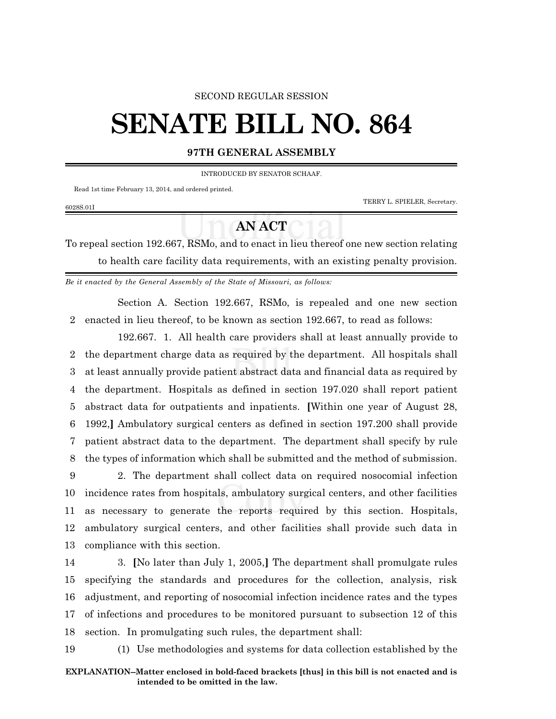## SECOND REGULAR SESSION

## **SENATE BILL NO. 864**

## **97TH GENERAL ASSEMBLY**

INTRODUCED BY SENATOR SCHAAF.

Read 1st time February 13, 2014, and ordered printed.

6028S.01I

TERRY L. SPIELER, Secretary.

## **AN ACT**

To repeal section 192.667, RSMo, and to enact in lieu thereof one new section relating to health care facility data requirements, with an existing penalty provision.

*Be it enacted by the General Assembly of the State of Missouri, as follows:*

Section A. Section 192.667, RSMo, is repealed and one new section 2 enacted in lieu thereof, to be known as section 192.667, to read as follows:

192.667. 1. All health care providers shall at least annually provide to the department charge data as required by the department. All hospitals shall at least annually provide patient abstract data and financial data as required by the department. Hospitals as defined in section 197.020 shall report patient abstract data for outpatients and inpatients. **[**Within one year of August 28, 1992,**]** Ambulatory surgical centers as defined in section 197.200 shall provide patient abstract data to the department. The department shall specify by rule the types of information which shall be submitted and the method of submission.

 2. The department shall collect data on required nosocomial infection incidence rates from hospitals, ambulatory surgical centers, and other facilities as necessary to generate the reports required by this section. Hospitals, ambulatory surgical centers, and other facilities shall provide such data in compliance with this section.

 3. **[**No later than July 1, 2005,**]** The department shall promulgate rules specifying the standards and procedures for the collection, analysis, risk adjustment, and reporting of nosocomial infection incidence rates and the types of infections and procedures to be monitored pursuant to subsection 12 of this section. In promulgating such rules, the department shall:

19 (1) Use methodologies and systems for data collection established by the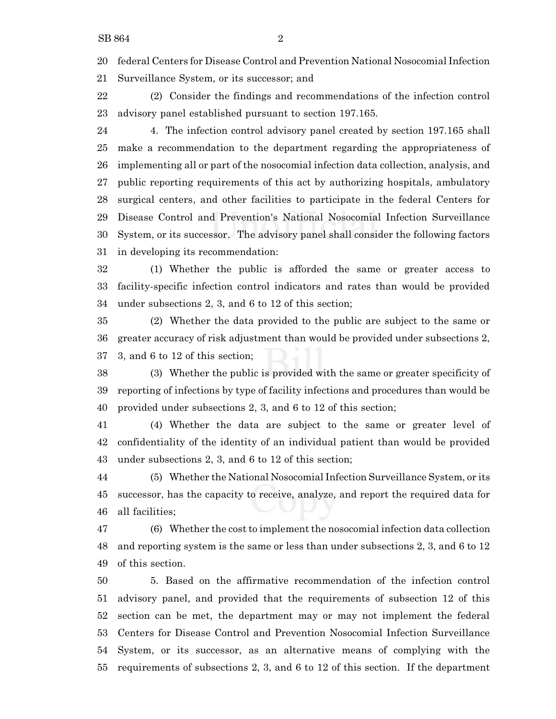federal Centers for Disease Control and Prevention National Nosocomial Infection

Surveillance System, or its successor; and

 (2) Consider the findings and recommendations of the infection control advisory panel established pursuant to section 197.165.

 4. The infection control advisory panel created by section 197.165 shall make a recommendation to the department regarding the appropriateness of implementing all or part of the nosocomial infection data collection, analysis, and public reporting requirements of this act by authorizing hospitals, ambulatory surgical centers, and other facilities to participate in the federal Centers for Disease Control and Prevention's National Nosocomial Infection Surveillance System, or its successor. The advisory panel shall consider the following factors in developing its recommendation:

 (1) Whether the public is afforded the same or greater access to facility-specific infection control indicators and rates than would be provided under subsections 2, 3, and 6 to 12 of this section;

 (2) Whether the data provided to the public are subject to the same or greater accuracy of risk adjustment than would be provided under subsections 2, 3, and 6 to 12 of this section;

 (3) Whether the public is provided with the same or greater specificity of reporting of infections by type of facility infections and procedures than would be provided under subsections 2, 3, and 6 to 12 of this section;

 (4) Whether the data are subject to the same or greater level of confidentiality of the identity of an individual patient than would be provided under subsections 2, 3, and 6 to 12 of this section;

 (5) Whether the National Nosocomial Infection Surveillance System, or its successor, has the capacity to receive, analyze, and report the required data for all facilities;

 (6) Whether the cost to implement the nosocomial infection data collection and reporting system is the same or less than under subsections 2, 3, and 6 to 12 of this section.

 5. Based on the affirmative recommendation of the infection control advisory panel, and provided that the requirements of subsection 12 of this section can be met, the department may or may not implement the federal Centers for Disease Control and Prevention Nosocomial Infection Surveillance System, or its successor, as an alternative means of complying with the requirements of subsections 2, 3, and 6 to 12 of this section. If the department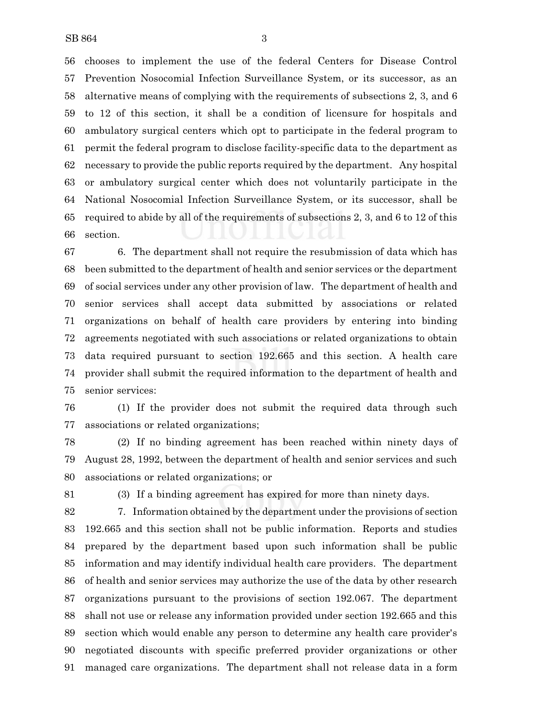chooses to implement the use of the federal Centers for Disease Control Prevention Nosocomial Infection Surveillance System, or its successor, as an alternative means of complying with the requirements of subsections 2, 3, and 6 to 12 of this section, it shall be a condition of licensure for hospitals and ambulatory surgical centers which opt to participate in the federal program to permit the federal program to disclose facility-specific data to the department as necessary to provide the public reports required by the department. Any hospital or ambulatory surgical center which does not voluntarily participate in the National Nosocomial Infection Surveillance System, or its successor, shall be required to abide by all of the requirements of subsections 2, 3, and 6 to 12 of this section.

 6. The department shall not require the resubmission of data which has been submitted to the department of health and senior services or the department of social services under any other provision of law. The department of health and senior services shall accept data submitted by associations or related organizations on behalf of health care providers by entering into binding agreements negotiated with such associations or related organizations to obtain data required pursuant to section 192.665 and this section. A health care provider shall submit the required information to the department of health and senior services:

 (1) If the provider does not submit the required data through such associations or related organizations;

 (2) If no binding agreement has been reached within ninety days of August 28, 1992, between the department of health and senior services and such associations or related organizations; or

(3) If a binding agreement has expired for more than ninety days.

 7. Information obtained by the department under the provisions of section 192.665 and this section shall not be public information. Reports and studies prepared by the department based upon such information shall be public information and may identify individual health care providers. The department of health and senior services may authorize the use of the data by other research organizations pursuant to the provisions of section 192.067. The department shall not use or release any information provided under section 192.665 and this section which would enable any person to determine any health care provider's negotiated discounts with specific preferred provider organizations or other managed care organizations. The department shall not release data in a form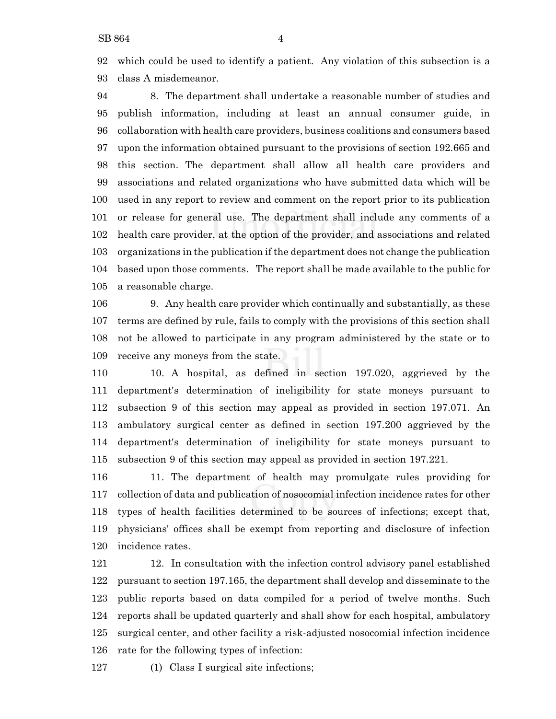which could be used to identify a patient. Any violation of this subsection is a class A misdemeanor.

 8. The department shall undertake a reasonable number of studies and publish information, including at least an annual consumer guide, in collaboration with health care providers, business coalitions and consumers based upon the information obtained pursuant to the provisions of section 192.665 and this section. The department shall allow all health care providers and associations and related organizations who have submitted data which will be used in any report to review and comment on the report prior to its publication or release for general use. The department shall include any comments of a health care provider, at the option of the provider, and associations and related organizations in the publication if the department does not change the publication based upon those comments. The report shall be made available to the public for a reasonable charge.

 9. Any health care provider which continually and substantially, as these terms are defined by rule, fails to comply with the provisions of this section shall not be allowed to participate in any program administered by the state or to receive any moneys from the state.

 10. A hospital, as defined in section 197.020, aggrieved by the department's determination of ineligibility for state moneys pursuant to subsection 9 of this section may appeal as provided in section 197.071. An ambulatory surgical center as defined in section 197.200 aggrieved by the department's determination of ineligibility for state moneys pursuant to subsection 9 of this section may appeal as provided in section 197.221.

 11. The department of health may promulgate rules providing for collection of data and publication of nosocomial infection incidence rates for other types of health facilities determined to be sources of infections; except that, physicians' offices shall be exempt from reporting and disclosure of infection incidence rates.

 12. In consultation with the infection control advisory panel established pursuant to section 197.165, the department shall develop and disseminate to the public reports based on data compiled for a period of twelve months. Such reports shall be updated quarterly and shall show for each hospital, ambulatory surgical center, and other facility a risk-adjusted nosocomial infection incidence rate for the following types of infection:

(1) Class I surgical site infections;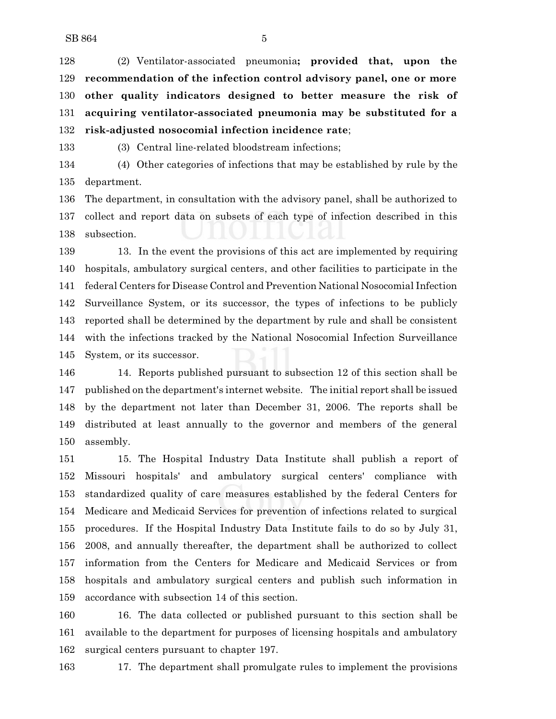(2) Ventilator-associated pneumonia**; provided that, upon the recommendation of the infection control advisory panel, one or more other quality indicators designed to better measure the risk of acquiring ventilator-associated pneumonia may be substituted for a risk-adjusted nosocomial infection incidence rate**;

(3) Central line-related bloodstream infections;

 (4) Other categories of infections that may be established by rule by the department.

 The department, in consultation with the advisory panel, shall be authorized to collect and report data on subsets of each type of infection described in this subsection.

 13. In the event the provisions of this act are implemented by requiring hospitals, ambulatory surgical centers, and other facilities to participate in the federal Centers for Disease Control and Prevention National Nosocomial Infection Surveillance System, or its successor, the types of infections to be publicly reported shall be determined by the department by rule and shall be consistent with the infections tracked by the National Nosocomial Infection Surveillance System, or its successor.

 14. Reports published pursuant to subsection 12 of this section shall be published on the department's internet website. The initial report shall be issued by the department not later than December 31, 2006. The reports shall be distributed at least annually to the governor and members of the general assembly.

 15. The Hospital Industry Data Institute shall publish a report of Missouri hospitals' and ambulatory surgical centers' compliance with standardized quality of care measures established by the federal Centers for Medicare and Medicaid Services for prevention of infections related to surgical procedures. If the Hospital Industry Data Institute fails to do so by July 31, 2008, and annually thereafter, the department shall be authorized to collect information from the Centers for Medicare and Medicaid Services or from hospitals and ambulatory surgical centers and publish such information in accordance with subsection 14 of this section.

 16. The data collected or published pursuant to this section shall be available to the department for purposes of licensing hospitals and ambulatory surgical centers pursuant to chapter 197.

17. The department shall promulgate rules to implement the provisions